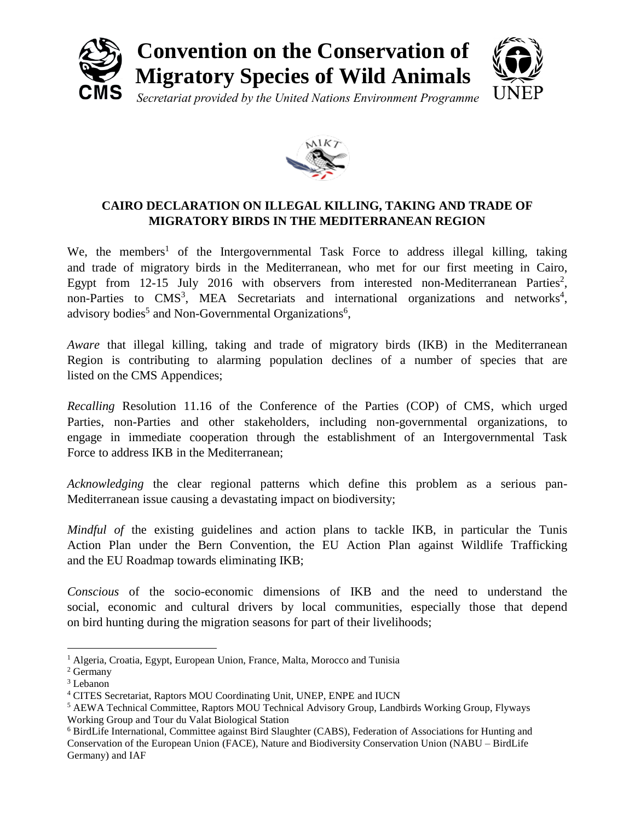



## **CAIRO DECLARATION ON ILLEGAL KILLING, TAKING AND TRADE OF MIGRATORY BIRDS IN THE MEDITERRANEAN REGION**

We, the members<sup>1</sup> of the Intergovernmental Task Force to address illegal killing, taking and trade of migratory birds in the Mediterranean, who met for our first meeting in Cairo, Egypt from  $12-15$  July  $2016$  with observers from interested non-Mediterranean Parties<sup>2</sup>, non-Parties to  $CMS^3$ , MEA Secretariats and international organizations and networks<sup>4</sup>, advisory bodies<sup>5</sup> and Non-Governmental Organizations<sup>6</sup>,

*Aware* that illegal killing, taking and trade of migratory birds (IKB) in the Mediterranean Region is contributing to alarming population declines of a number of species that are listed on the CMS Appendices;

*Recalling* Resolution 11.16 of the Conference of the Parties (COP) of CMS, which urged Parties, non-Parties and other stakeholders, including non-governmental organizations, to engage in immediate cooperation through the establishment of an Intergovernmental Task Force to address IKB in the Mediterranean;

*Acknowledging* the clear regional patterns which define this problem as a serious pan-Mediterranean issue causing a devastating impact on biodiversity;

*Mindful of the existing guidelines and action plans to tackle IKB, in particular the Tunis* Action Plan under the Bern Convention, the EU Action Plan against Wildlife Trafficking and the EU Roadmap towards eliminating IKB;

*Conscious* of the socio-economic dimensions of IKB and the need to understand the social, economic and cultural drivers by local communities, especially those that depend on bird hunting during the migration seasons for part of their livelihoods;

 $\overline{a}$ 

<sup>&</sup>lt;sup>1</sup> Algeria, Croatia, Egypt, European Union, France, Malta, Morocco and Tunisia

<sup>2</sup> Germany

<sup>3</sup> Lebanon

<sup>4</sup> CITES Secretariat, Raptors MOU Coordinating Unit, UNEP, ENPE and IUCN

<sup>5</sup> AEWA Technical Committee, Raptors MOU Technical Advisory Group, Landbirds Working Group, Flyways Working Group and Tour du Valat Biological Station

<sup>6</sup> BirdLife International, Committee against Bird Slaughter (CABS), Federation of Associations for Hunting and Conservation of the European Union (FACE), Nature and Biodiversity Conservation Union (NABU – BirdLife Germany) and IAF